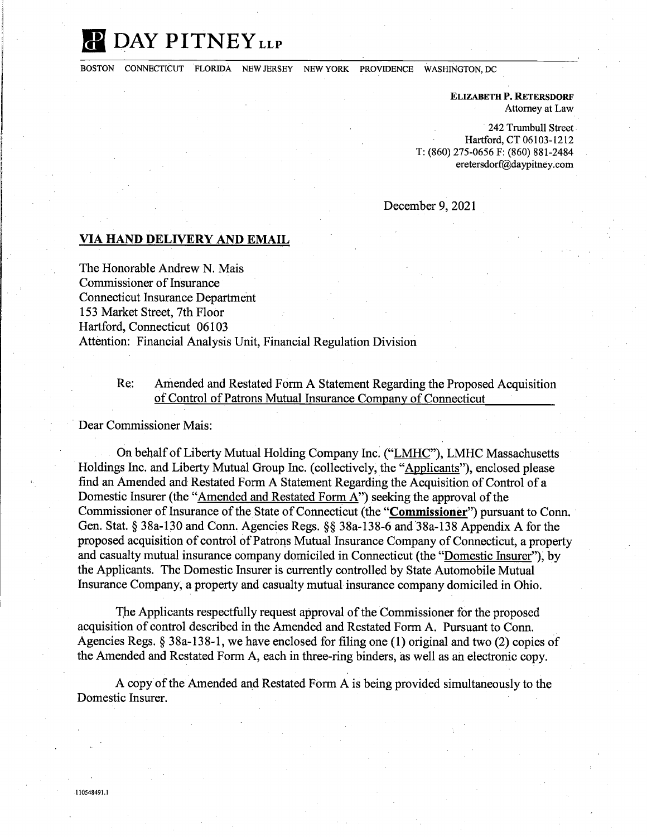## **II DAY PITNEY LLP**

BOSTON CONNECTICUT FLORIDA NEW JERSEY NEW YORK PROVIDENCE WASHINGTON, DC

**ELIZABETH P. RETERSDORF**  Attorney at Law

242 Trumbull Street. Hartford, CT 06103-1212 T: (860) 275-0656 F: (860) 881-2484 eretersdorf@daypitney.com

December 9, 2021

## **VIA HAND DELIVERY AND EMAIL**

The Honorable Andrew N. Mais Commissioner of Insurance Connecticut Insurance Department 153 Market Street, 7th Floor Hartford, Connecticut 06103 Attention: Financial Analysis Unit, Financial Regulation Division

## Re: Amended and Restated Form A Statement Regarding the Proposed Acquisition of Control of Patrons Mutual Insurance Company of Connecticut

Dear Commissioner Mais:

On behalf of Liberty Mutual Holding Company Inc. ("LMHC"), LMHC Massachusetts Holdings Inc. and Liberty Mutual Group Inc. ( collectively, the "Applicants"), enclosed please find an Amended and Restated Form A Statement Regarding the Acquisition of Control of a Domestic Insurer (the "Amended and Restated Form A") seeking the approval of the Commissioner of Insurance of the State of Connecticut (the **"Commissioner")** pursuant to Conn. Gen. Stat. § 38a-130 and Conn. Agencies Regs. §§ 38a-138-6 and 38a-138 Appendix A for the proposed acquisition of control of Patrons Mutual Insurance Company of Connecticut, a property and casualty mutual insurance company domiciled in Connecticut (the "Domestic Insurer"), by the Applicants. The Domestic Insurer is currently controlled by State Automobile Mutual Insurance Company, a property and casualty mutual insurance company domiciled in Ohio.

The Applicants respectfully request approval of the Commissioner for the proposed acquisition of control described in the Amended and Restated Form A. Pursuant to Conn. Agencies Regs.§ 38a-138-l, we have enclosed for filing one (1) original and two (2) copies of the Amended and Restated Form A, each in three-ring binders, as well as an electronic copy.

A copy of the Amended and Restated Form A is being provided simultaneously to the Domestic Insurer.